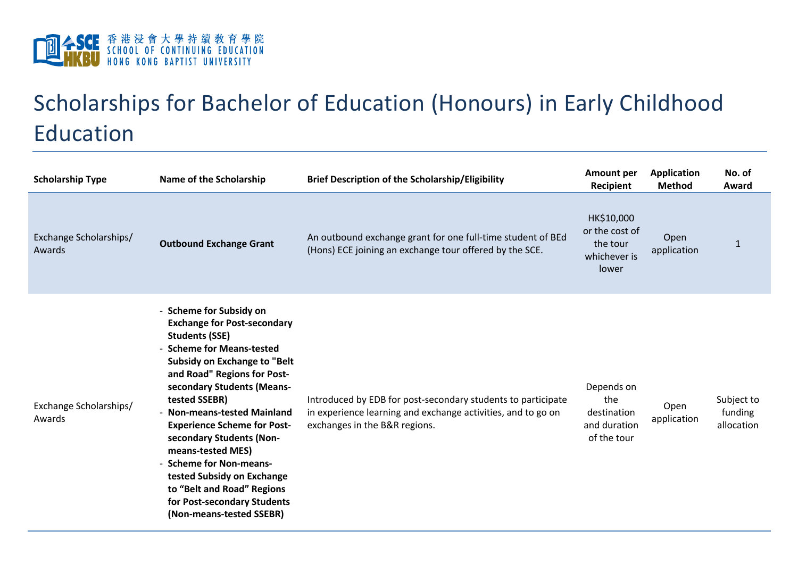

## Scholarships for Bachelor of Education (Honours) in Early Childhood Education

| <b>Scholarship Type</b>          | Name of the Scholarship                                                                                                                                                                                                                                                                                                                                                                                                                                                                                          | <b>Brief Description of the Scholarship/Eligibility</b>                                                                                                       | <b>Amount per</b><br><b>Recipient</b>                             | <b>Application</b><br><b>Method</b> | No. of<br>Award                     |
|----------------------------------|------------------------------------------------------------------------------------------------------------------------------------------------------------------------------------------------------------------------------------------------------------------------------------------------------------------------------------------------------------------------------------------------------------------------------------------------------------------------------------------------------------------|---------------------------------------------------------------------------------------------------------------------------------------------------------------|-------------------------------------------------------------------|-------------------------------------|-------------------------------------|
| Exchange Scholarships/<br>Awards | <b>Outbound Exchange Grant</b>                                                                                                                                                                                                                                                                                                                                                                                                                                                                                   | An outbound exchange grant for one full-time student of BEd<br>(Hons) ECE joining an exchange tour offered by the SCE.                                        | HK\$10,000<br>or the cost of<br>the tour<br>whichever is<br>lower | Open<br>application                 | $\mathbf{1}$                        |
| Exchange Scholarships/<br>Awards | - Scheme for Subsidy on<br><b>Exchange for Post-secondary</b><br><b>Students (SSE)</b><br>- Scheme for Means-tested<br><b>Subsidy on Exchange to "Belt</b><br>and Road" Regions for Post-<br>secondary Students (Means-<br>tested SSEBR)<br>- Non-means-tested Mainland<br><b>Experience Scheme for Post-</b><br>secondary Students (Non-<br>means-tested MES)<br>- Scheme for Non-means-<br>tested Subsidy on Exchange<br>to "Belt and Road" Regions<br>for Post-secondary Students<br>(Non-means-tested SSEBR) | Introduced by EDB for post-secondary students to participate<br>in experience learning and exchange activities, and to go on<br>exchanges in the B&R regions. | Depends on<br>the<br>destination<br>and duration<br>of the tour   | Open<br>application                 | Subject to<br>funding<br>allocation |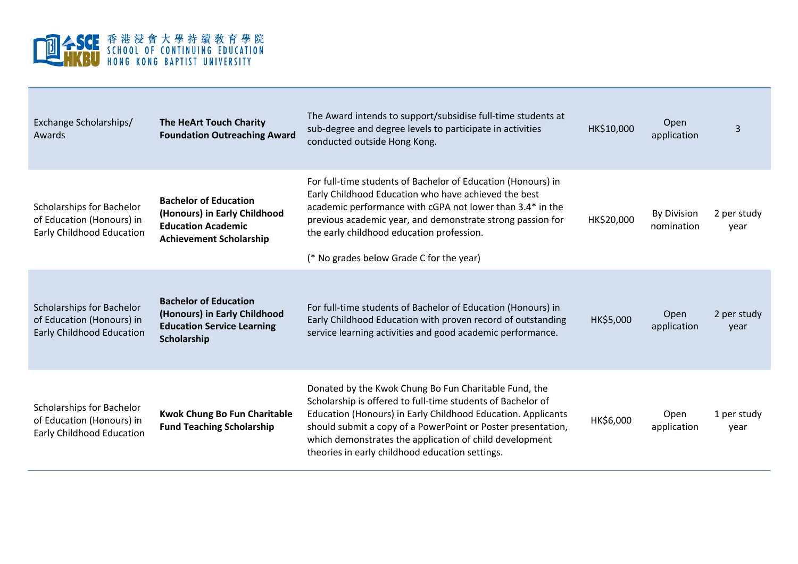

| Exchange Scholarships/<br>Awards                                                           | <b>The HeArt Touch Charity</b><br><b>Foundation Outreaching Award</b>                                                       | The Award intends to support/subsidise full-time students at<br>sub-degree and degree levels to participate in activities<br>conducted outside Hong Kong.                                                                                                                                                                                                          | HK\$10,000 | Open<br>application              | 3                   |
|--------------------------------------------------------------------------------------------|-----------------------------------------------------------------------------------------------------------------------------|--------------------------------------------------------------------------------------------------------------------------------------------------------------------------------------------------------------------------------------------------------------------------------------------------------------------------------------------------------------------|------------|----------------------------------|---------------------|
| Scholarships for Bachelor<br>of Education (Honours) in<br><b>Early Childhood Education</b> | <b>Bachelor of Education</b><br>(Honours) in Early Childhood<br><b>Education Academic</b><br><b>Achievement Scholarship</b> | For full-time students of Bachelor of Education (Honours) in<br>Early Childhood Education who have achieved the best<br>academic performance with cGPA not lower than 3.4* in the<br>previous academic year, and demonstrate strong passion for<br>the early childhood education profession.<br>(* No grades below Grade C for the year)                           | HK\$20,000 | <b>By Division</b><br>nomination | 2 per study<br>year |
| Scholarships for Bachelor<br>of Education (Honours) in<br><b>Early Childhood Education</b> | <b>Bachelor of Education</b><br>(Honours) in Early Childhood<br><b>Education Service Learning</b><br>Scholarship            | For full-time students of Bachelor of Education (Honours) in<br>Early Childhood Education with proven record of outstanding<br>service learning activities and good academic performance.                                                                                                                                                                          | HK\$5,000  | Open<br>application              | 2 per study<br>vear |
| Scholarships for Bachelor<br>of Education (Honours) in<br>Early Childhood Education        | <b>Kwok Chung Bo Fun Charitable</b><br><b>Fund Teaching Scholarship</b>                                                     | Donated by the Kwok Chung Bo Fun Charitable Fund, the<br>Scholarship is offered to full-time students of Bachelor of<br>Education (Honours) in Early Childhood Education. Applicants<br>should submit a copy of a PowerPoint or Poster presentation,<br>which demonstrates the application of child development<br>theories in early childhood education settings. | HK\$6,000  | Open<br>application              | 1 per study<br>year |